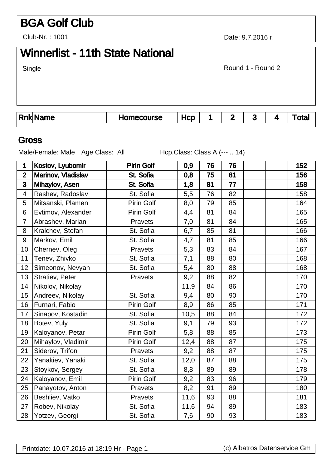# BGA Golf Club

Club-Nr. : 1001

Date: 9.7.2016 .

# Winnerlist - 11th State National

| Single          |            |     |              | Round 1 - Round 2 |   |       |
|-----------------|------------|-----|--------------|-------------------|---|-------|
|                 |            |     |              |                   |   |       |
| <b>Rnk Name</b> | Homecourse | Hcp | $\mathbf{2}$ | 3                 | 4 | Total |

### Gross

Male/Female: Male Age Class: All Hcp.Class: Class A (--- .. 14)

| 1                | Kostov, Lyubomir   | <b>Pirin Golf</b> | 0,9  | 76 | 76 |  | 152 |
|------------------|--------------------|-------------------|------|----|----|--|-----|
| $\overline{2}$   | Marinov, Vladislav | St. Sofia         | 0,8  | 75 | 81 |  | 156 |
| 3                | Mihaylov, Asen     | St. Sofia         | 1,8  | 81 | 77 |  | 158 |
| 4                | Rashev, Radoslav   | St. Sofia         | 5,5  | 76 | 82 |  | 158 |
| 5                | Mitsanski, Plamen  | Pirin Golf        | 8,0  | 79 | 85 |  | 164 |
| 6                | Evtimov, Alexander | Pirin Golf        | 4,4  | 81 | 84 |  | 165 |
| $\overline{7}$   | Abrashev, Marian   | Pravets           | 7,0  | 81 | 84 |  | 165 |
| 8                | Kralchev, Stefan   | St. Sofia         | 6,7  | 85 | 81 |  | 166 |
| $\boldsymbol{9}$ | Markov, Emil       | St. Sofia         | 4,7  | 81 | 85 |  | 166 |
| 10               | Chernev, Oleg      | Pravets           | 5,3  | 83 | 84 |  | 167 |
| 11               | Tenev, Zhivko      | St. Sofia         | 7,1  | 88 | 80 |  | 168 |
| 12               | Simeonov, Nevyan   | St. Sofia         | 5,4  | 80 | 88 |  | 168 |
| 13               | Stratiev, Peter    | Pravets           | 9,2  | 88 | 82 |  | 170 |
| 14               | Nikolov, Nikolay   |                   | 11,9 | 84 | 86 |  | 170 |
| 15               | Andreev, Nikolay   | St. Sofia         | 9,4  | 80 | 90 |  | 170 |
| 16               | Furnari, Fabio     | Pirin Golf        | 8,9  | 86 | 85 |  | 171 |
| 17               | Sinapov, Kostadin  | St. Sofia         | 10,5 | 88 | 84 |  | 172 |
| 18               | Botev, Yuly        | St. Sofia         | 9,1  | 79 | 93 |  | 172 |
| 19               | Kaloyanov, Petar   | Pirin Golf        | 5,8  | 88 | 85 |  | 173 |
| 20               | Mihaylov, Vladimir | Pirin Golf        | 12,4 | 88 | 87 |  | 175 |
| 21               | Siderov, Trifon    | Pravets           | 9,2  | 88 | 87 |  | 175 |
| 22               | Yanakiev, Yanaki   | St. Sofia         | 12,0 | 87 | 88 |  | 175 |
| 23               | Stoykov, Sergey    | St. Sofia         | 8,8  | 89 | 89 |  | 178 |
| 24               | Kaloyanov, Emil    | Pirin Golf        | 9,2  | 83 | 96 |  | 179 |
| 25               | Panayotov, Anton   | Pravets           | 8,2  | 91 | 89 |  | 180 |
| 26               | Beshliev, Vatko    | Pravets           | 11,6 | 93 | 88 |  | 181 |
| 27               | Robev, Nikolay     | St. Sofia         | 11,6 | 94 | 89 |  | 183 |
| 28               | Yotzev, Georgi     | St. Sofia         | 7,6  | 90 | 93 |  | 183 |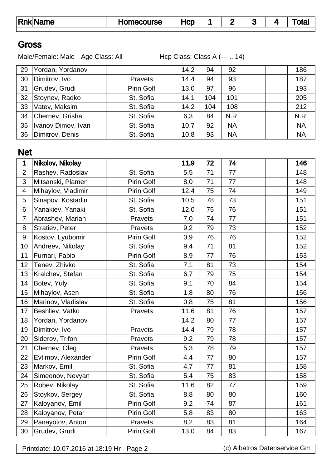| Rnk  Name | Homecourse | HCD |  | --<br> | otal |
|-----------|------------|-----|--|--------|------|
|           |            |     |  |        |      |

#### **Gross**

Male/Female: Male Age Class: All Hcp Class: Class A (--- .. 14)

| 29 | Yordan, Yordanov   |                   | 14,2 | 94  | 92        |  | 186       |
|----|--------------------|-------------------|------|-----|-----------|--|-----------|
| 30 | Dimitrov, Ivo      | Pravets           | 14,4 | 94  | 93        |  | 187       |
| 31 | Grudev, Grudi      | <b>Pirin Golf</b> | 13.0 | 97  | 96        |  | 193       |
| 32 | Stoynev, Radko     | St. Sofia         | 14,1 | 104 | 101       |  | 205       |
| 33 | Vatev, Maksim      | St. Sofia         | 14,2 | 104 | 108       |  | 212       |
| 34 | Chernev, Grisha    | St. Sofia         | 6,3  | 84  | N.R.      |  | N.R.      |
| 35 | Ivanov Dimov, Ivan | St. Sofia         | 10,7 | 92  | <b>NA</b> |  | <b>NA</b> |
| 36 | Dimitrov, Denis    | St. Sofia         | 10,8 | 93  | <b>NA</b> |  | <b>NA</b> |

## Net

| 1              | Nikolov, Nikolay   |            | 11,9 | 72 | 74 |  | 146 |
|----------------|--------------------|------------|------|----|----|--|-----|
| $\overline{2}$ | Rashev, Radoslav   | St. Sofia  | 5,5  | 71 | 77 |  | 148 |
| 3              | Mitsanski, Plamen  | Pirin Golf | 8,0  | 71 | 77 |  | 148 |
| 4              | Mihaylov, Vladimir | Pirin Golf | 12,4 | 75 | 74 |  | 149 |
| 5              | Sinapov, Kostadin  | St. Sofia  | 10,5 | 78 | 73 |  | 151 |
| 6              | Yanakiev, Yanaki   | St. Sofia  | 12,0 | 75 | 76 |  | 151 |
| $\overline{7}$ | Abrashev, Marian   | Pravets    | 7,0  | 74 | 77 |  | 151 |
| 8              | Stratiev, Peter    | Pravets    | 9,2  | 79 | 73 |  | 152 |
| 9              | Kostov, Lyubomir   | Pirin Golf | 0,9  | 76 | 76 |  | 152 |
| 10             | Andreev, Nikolay   | St. Sofia  | 9,4  | 71 | 81 |  | 152 |
| 11             | Furnari, Fabio     | Pirin Golf | 8,9  | 77 | 76 |  | 153 |
| 12             | Tenev, Zhivko      | St. Sofia  | 7,1  | 81 | 73 |  | 154 |
| 13             | Kralchev, Stefan   | St. Sofia  | 6,7  | 79 | 75 |  | 154 |
| 14             | Botev, Yuly        | St. Sofia  | 9,1  | 70 | 84 |  | 154 |
| 15             | Mihaylov, Asen     | St. Sofia  | 1,8  | 80 | 76 |  | 156 |
| 16             | Marinov, Vladislav | St. Sofia  | 0,8  | 75 | 81 |  | 156 |
| 17             | Beshliev, Vatko    | Pravets    | 11,6 | 81 | 76 |  | 157 |
| 18             | Yordan, Yordanov   |            | 14,2 | 80 | 77 |  | 157 |
| 19             | Dimitrov, Ivo      | Pravets    | 14,4 | 79 | 78 |  | 157 |
| 20             | Siderov, Trifon    | Pravets    | 9,2  | 79 | 78 |  | 157 |
| 21             | Chernev, Oleg      | Pravets    | 5,3  | 78 | 79 |  | 157 |
| 22             | Evtimov, Alexander | Pirin Golf | 4,4  | 77 | 80 |  | 157 |
| 23             | Markov, Emil       | St. Sofia  | 4,7  | 77 | 81 |  | 158 |
| 24             | Simeonov, Nevyan   | St. Sofia  | 5,4  | 75 | 83 |  | 158 |
| 25             | Robev, Nikolay     | St. Sofia  | 11,6 | 82 | 77 |  | 159 |
| 26             | Stoykov, Sergey    | St. Sofia  | 8,8  | 80 | 80 |  | 160 |
| 27             | Kaloyanov, Emil    | Pirin Golf | 9,2  | 74 | 87 |  | 161 |
| 28             | Kaloyanov, Petar   | Pirin Golf | 5,8  | 83 | 80 |  | 163 |
| 29             | Panayotov, Anton   | Pravets    | 8,2  | 83 | 81 |  | 164 |
| 30             | Grudev, Grudi      | Pirin Golf | 13,0 | 84 | 83 |  | 167 |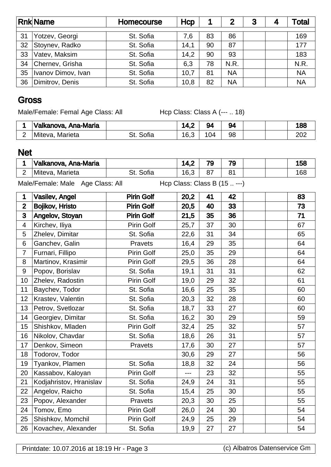|    | <b>Rnk Name</b>    | <b>Homecourse</b> | Hcp  |    | $\mathbf{2}$ | 3 | 4 | Total     |
|----|--------------------|-------------------|------|----|--------------|---|---|-----------|
| 31 | Yotzev, Georgi     | St. Sofia         | 7.6  | 83 | 86           |   |   | 169       |
| 32 | Stoynev, Radko     | St. Sofia         | 14,1 | 90 | 87           |   |   | 177       |
| 33 | Vatev, Maksim      | St. Sofia         | 14,2 | 90 | 93           |   |   | 183       |
| 34 | Chernev, Grisha    | St. Sofia         | 6,3  | 78 | N.R.         |   |   | N.R.      |
| 35 | Ivanov Dimov, Ivan | St. Sofia         | 10,7 | 81 | <b>NA</b>    |   |   | <b>NA</b> |
| 36 | Dimitrov, Denis    | St. Sofia         | 10,8 | 82 | <b>NA</b>    |   |   | <b>NA</b> |

### **Gross**

Male/Female: Femal Age Class: All Hcp Class: Class A (--- .. 18)

| ˈValkanova, Ana-Maria |      | . T. J | $\sim$ | 94 |  | 100<br>oo  |
|-----------------------|------|--------|--------|----|--|------------|
| Marieta<br>Miteva.    | UIIC | 16,3   | 04     | 98 |  | ooc<br>∠∪∠ |

## Net

| Valkanova, Ana-Maria |       |                     | 70       | 79              |  | 4 E O<br>.טט   |
|----------------------|-------|---------------------|----------|-----------------|--|----------------|
| Marieta<br>Miteva.   | OUIId | $16^{\circ}$<br>v.v | ^7<br>o, | $\Omega$<br>U I |  | $\sim$<br>. OO |

Male/Female: Male Age Class: All Hcp Class: Class B (15 .. ---)

| 1              | <b>Vasilev, Angel</b>   | <b>Pirin Golf</b> | 20,2 | 41 | 42 | 83 |
|----------------|-------------------------|-------------------|------|----|----|----|
| $\overline{2}$ | Bojikov, Hristo         | <b>Pirin Golf</b> | 20,5 | 40 | 33 | 73 |
| 3              | Angelov, Stoyan         | <b>Pirin Golf</b> | 21,5 | 35 | 36 | 71 |
| $\overline{4}$ | Kirchev, Iliya          | Pirin Golf        | 25,7 | 37 | 30 | 67 |
| 5              | Zhelev, Dimitar         | St. Sofia         | 22,6 | 31 | 34 | 65 |
| 6              | Ganchev, Galin          | Pravets           | 16,4 | 29 | 35 | 64 |
| $\overline{7}$ | Furnari, Fillipo        | <b>Pirin Golf</b> | 25,0 | 35 | 29 | 64 |
| 8              | Martinov, Krasimir      | Pirin Golf        | 29,5 | 36 | 28 | 64 |
| 9              | Popov, Borislav         | St. Sofia         | 19,1 | 31 | 31 | 62 |
| 10             | Zhelev, Radostin        | Pirin Golf        | 19,0 | 29 | 32 | 61 |
| 11             | Baychev, Todor          | St. Sofia         | 16,6 | 25 | 35 | 60 |
| 12             | Krastev, Valentin       | St. Sofia         | 20,3 | 32 | 28 | 60 |
| 13             | Petrov, Svetlozar       | St. Sofia         | 18,7 | 33 | 27 | 60 |
| 14             | Georgiev, Dimitar       | St. Sofia         | 16,2 | 30 | 29 | 59 |
| 15             | Shishkov, Mladen        | Pirin Golf        | 32,4 | 25 | 32 | 57 |
| 16             | Nikolov, Chavdar        | St. Sofia         | 18,6 | 26 | 31 | 57 |
| 17             | Denkov, Simeon          | Pravets           | 17,6 | 30 | 27 | 57 |
| 18             | Todorov, Todor          |                   | 30,6 | 29 | 27 | 56 |
| 19             | Tyankov, Plamen         | St. Sofia         | 18,8 | 32 | 24 | 56 |
| 20             | Kassabov, Kaloyan       | Pirin Golf        | $ -$ | 23 | 32 | 55 |
| 21             | Kodjahristov, Hranislav | St. Sofia         | 24,9 | 24 | 31 | 55 |
| 22             | Angelov, Raicho         | St. Sofia         | 15,4 | 25 | 30 | 55 |
| 23             | Popov, Alexander        | Pravets           | 20,3 | 30 | 25 | 55 |
| 24             | Tomov, Emo              | Pirin Golf        | 26,0 | 24 | 30 | 54 |
| 25             | Shishkov, Momchil       | Pirin Golf        | 24,9 | 25 | 29 | 54 |
| 26             | Kovachev, Alexander     | St. Sofia         | 19,9 | 27 | 27 | 54 |